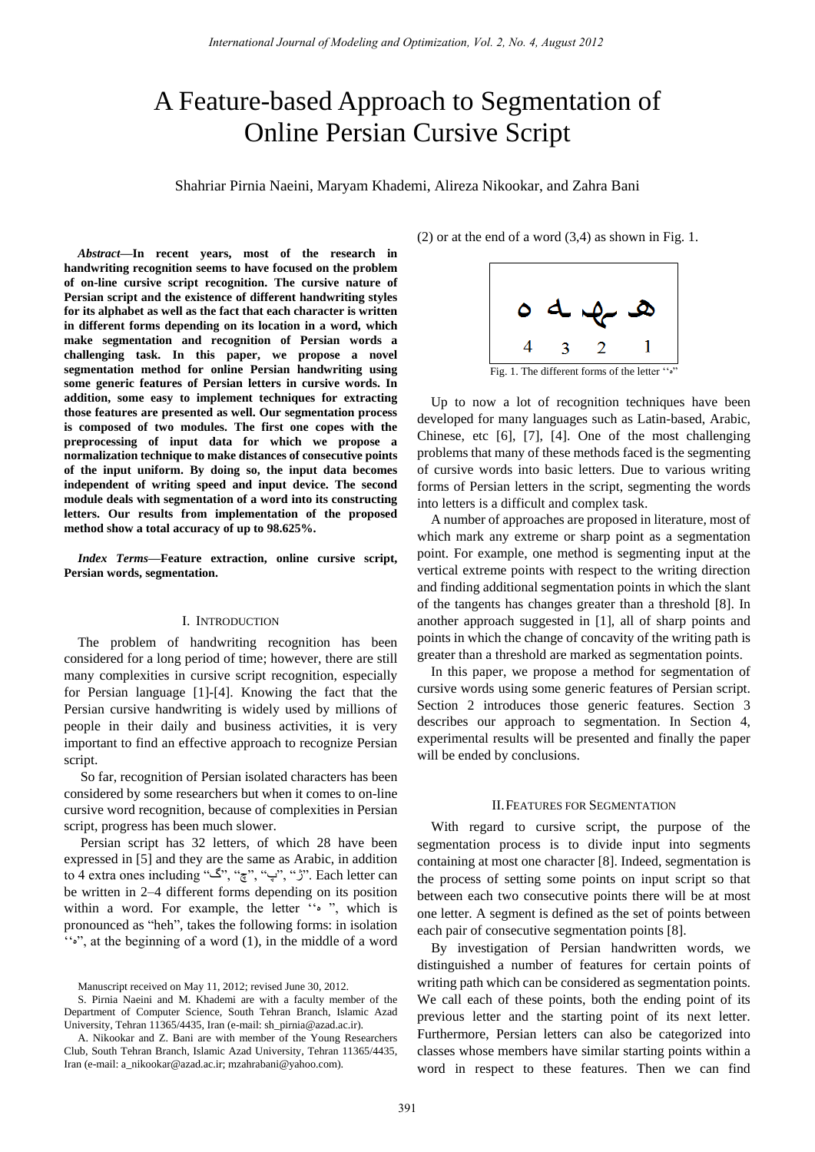# A Feature-based Approach to Segmentation of Online Persian Cursive Script

Shahriar Pirnia Naeini, Maryam Khademi, Alireza Nikookar, and Zahra Bani

*Abstract***—In recent years, most of the research in handwriting recognition seems to have focused on the problem of on-line cursive script recognition. The cursive nature of Persian script and the existence of different handwriting styles for its alphabet as well as the fact that each character is written in different forms depending on its location in a word, which make segmentation and recognition of Persian words a challenging task. In this paper, we propose a novel segmentation method for online Persian handwriting using some generic features of Persian letters in cursive words. In addition, some easy to implement techniques for extracting those features are presented as well. Our segmentation process is composed of two modules. The first one copes with the preprocessing of input data for which we propose a normalization technique to make distances of consecutive points of the input uniform. By doing so, the input data becomes independent of writing speed and input device. The second module deals with segmentation of a word into its constructing letters. Our results from implementation of the proposed method show a total accuracy of up to 98.625%.** 

*Index Terms***—Feature extraction, online cursive script, Persian words, segmentation.** 

## I. INTRODUCTION

The problem of handwriting recognition has been considered for a long period of time; however, there are still many complexities in cursive script recognition, especially for Persian language [1]-[4]. Knowing the fact that the Persian cursive handwriting is widely used by millions of people in their daily and business activities, it is very important to find an effective approach to recognize Persian script.

So far, recognition of Persian isolated characters has been considered by some researchers but when it comes to on-line cursive word recognition, because of complexities in Persian script, progress has been much slower.

Persian script has 32 letters, of which 28 have been expressed in [5] and they are the same as Arabic, in addition to 4 extra ones including "گ"," چ"," پ"," ژ". Each letter can be written in 2–4 different forms depending on its position within a word. For example, the letter  $\cdot \cdot \cdot$  , which is pronounced as "heh", takes the following forms: in isolation " $\bullet$ ", at the beginning of a word (1), in the middle of a word

S. Pirnia Naeini and M. Khademi are with a faculty member of the Department of Computer Science, South Tehran Branch, Islamic Azad University, Tehran 11365/4435, Iran (e-mail[: sh\\_pirnia@azad.ac.ir\)](mailto:sh_pirnia@azad.ac.ir).

A. Nikookar and Z. Bani are with member of the Young Researchers Club, South Tehran Branch, Islamic Azad University, Tehran 11365/4435, Iran (e-mail[: a\\_nikookar@azad.ac.ir;](mailto:a_nikookar@azad.ac.ir) [mzahrabani@yahoo.com\)](mailto:mzahrabani@yahoo.com).

(2) or at the end of a word (3,4) as shown in Fig. 1.



Fig. 1. The different forms of the letter """

Up to now a lot of recognition techniques have been developed for many languages such as Latin-based, Arabic, Chinese, etc [6], [7], [4]. One of the most challenging problems that many of these methods faced is the segmenting of cursive words into basic letters. Due to various writing forms of Persian letters in the script, segmenting the words into letters is a difficult and complex task.

A number of approaches are proposed in literature, most of which mark any extreme or sharp point as a segmentation point. For example, one method is segmenting input at the vertical extreme points with respect to the writing direction and finding additional segmentation points in which the slant of the tangents has changes greater than a threshold [8]. In another approach suggested in [1], all of sharp points and points in which the change of concavity of the writing path is greater than a threshold are marked as segmentation points.

In this paper, we propose a method for segmentation of cursive words using some generic features of Persian script. Section 2 introduces those generic features. Section 3 describes our approach to segmentation. In Section 4, experimental results will be presented and finally the paper will be ended by conclusions.

## II.FEATURES FOR SEGMENTATION

With regard to cursive script, the purpose of the segmentation process is to divide input into segments containing at most one character [8]. Indeed, segmentation is the process of setting some points on input script so that between each two consecutive points there will be at most one letter. A segment is defined as the set of points between each pair of consecutive segmentation points [8].

By investigation of Persian handwritten words, we distinguished a number of features for certain points of writing path which can be considered as segmentation points. We call each of these points, both the ending point of its previous letter and the starting point of its next letter. Furthermore, Persian letters can also be categorized into classes whose members have similar starting points within a word in respect to these features. Then we can find

Manuscript received on May 11, 2012; revised June 30, 2012.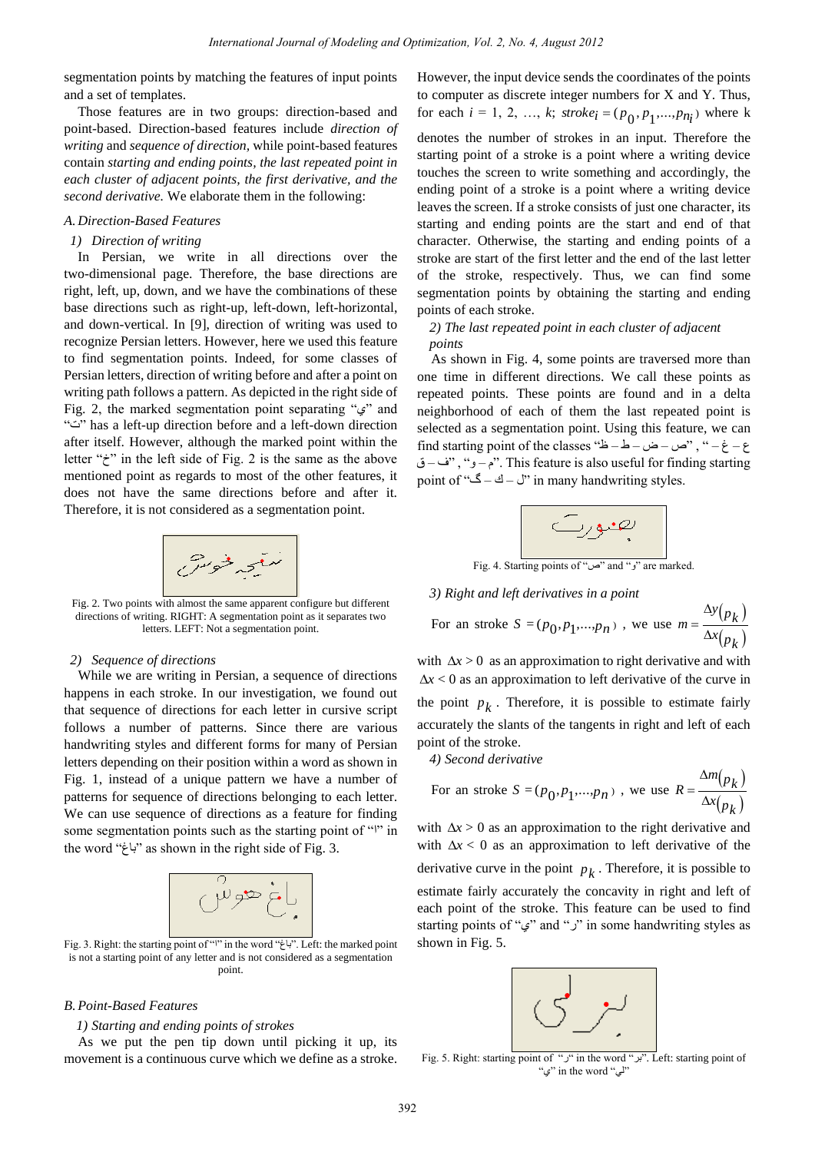segmentation points by matching the features of input points and a set of templates.

Those features are in two groups: direction-based and point-based. Direction-based features include *direction of writing* and *sequence of direction,* while point-based features contain *starting and ending points, the last repeated point in each cluster of adjacent points, the first derivative, and the second derivative.* We elaborate them in the following:

#### *A. Direction-Based Features*

## *1) Direction of writing*

In Persian, we write in all directions over the two-dimensional page. Therefore, the base directions are right, left, up, down, and we have the combinations of these base directions such as right-up, left-down, left-horizontal, and down-vertical. In [9], direction of writing was used to recognize Persian letters. However, here we used this feature to find segmentation points. Indeed, for some classes of Persian letters, direction of writing before and after a point on writing path follows a pattern. As depicted in the right side of Fig. 2, the marked segmentation point separating " $\mathcal{L}$ " and "ت "has a left-up direction before and a left-down direction after itself. However, although the marked point within the letter " $\zeta$ " in the left side of Fig. 2 is the same as the above mentioned point as regards to most of the other features, it does not have the same directions before and after it. Therefore, it is not considered as a segmentation point.



Fig. 2. Two points with almost the same apparent configure but different directions of writing. RIGHT: A segmentation point as it separates two letters. LEFT: Not a segmentation point.

#### *2) Sequence of directions*

While we are writing in Persian, a sequence of directions happens in each stroke. In our investigation, we found out that sequence of directions for each letter in cursive script follows a number of patterns. Since there are various handwriting styles and different forms for many of Persian letters depending on their position within a word as shown in Fig. 1, instead of a unique pattern we have a number of patterns for sequence of directions belonging to each letter. We can use sequence of directions as a feature for finding some segmentation points such as the starting point of " $\mathbb{I}$ " in the word "تاغ "as shown in the right side of Fig. 3.



Fig. 3. Right: the starting point of "ا "in the word "تاغ". Left: the marked point is not a starting point of any letter and is not considered as a segmentation point.

## *B.Point-Based Features*

#### *1) Starting and ending points of strokes*

As we put the pen tip down until picking it up, its movement is a continuous curve which we define as a stroke.

However, the input device sends the coordinates of the points to computer as discrete integer numbers for X and Y. Thus, for each  $i = 1, 2, ..., k$ ;  $\text{stroke}_i = (p_0, p_1, ..., p_{n_i})$  where k denotes the number of strokes in an input. Therefore the starting point of a stroke is a point where a writing device touches the screen to write something and accordingly, the ending point of a stroke is a point where a writing device leaves the screen. If a stroke consists of just one character, its starting and ending points are the start and end of that character. Otherwise, the starting and ending points of a stroke are start of the first letter and the end of the last letter of the stroke, respectively. Thus, we can find some segmentation points by obtaining the starting and ending points of each stroke.

## *2) The last repeated point in each cluster of adjacent points*

As shown in Fig. 4, some points are traversed more than one time in different directions. We call these points as repeated points. These points are found and in a delta neighborhood of each of them the last repeated point is selected as a segmentation point. Using this feature, we can find starting point of the classes "خ $-$  ض – ض – ط $-$  ض – است – ش – does the of the of starting find starting find starting find starting find starting find starting find starting find starting find starting find startin ق – ق", "ف- ق". This feature is also useful for finding starting point of "گ – ك $-$ " $\geq$  in many handwriting styles.



Fig. 4. Starting points of "ص" and "i "en marked

#### *3) Right and left derivatives in a point*

For an stroke 
$$
S = (p_0, p_1, ..., p_n)
$$
, we use  $m = \frac{\Delta y(p_k)}{\Delta x(p_k)}$ 

with  $\Delta x > 0$  as an approximation to right derivative and with  $\Delta x$  < 0 as an approximation to left derivative of the curve in the point  $p_k$ . Therefore, it is possible to estimate fairly accurately the slants of the tangents in right and left of each point of the stroke.

*4) Second derivative* 

For an stroke 
$$
S = (p_0, p_1, ..., p_n)
$$
, we use  $R = \frac{\Delta m(p_k)}{\Delta x(p_k)}$ 

with  $\Delta x > 0$  as an approximation to the right derivative and with  $\Delta x$  < 0 as an approximation to left derivative of the derivative curve in the point  $p_k$ . Therefore, it is possible to estimate fairly accurately the concavity in right and left of each point of the stroke. This feature can be used to find starting points of "ي" and "ر" in some handwriting styles as shown in Fig. 5.



Fig. 5. Right: starting point of " $\mu$ " in the word " $\mu$ ". Left: starting point of "ي "in the word "لي"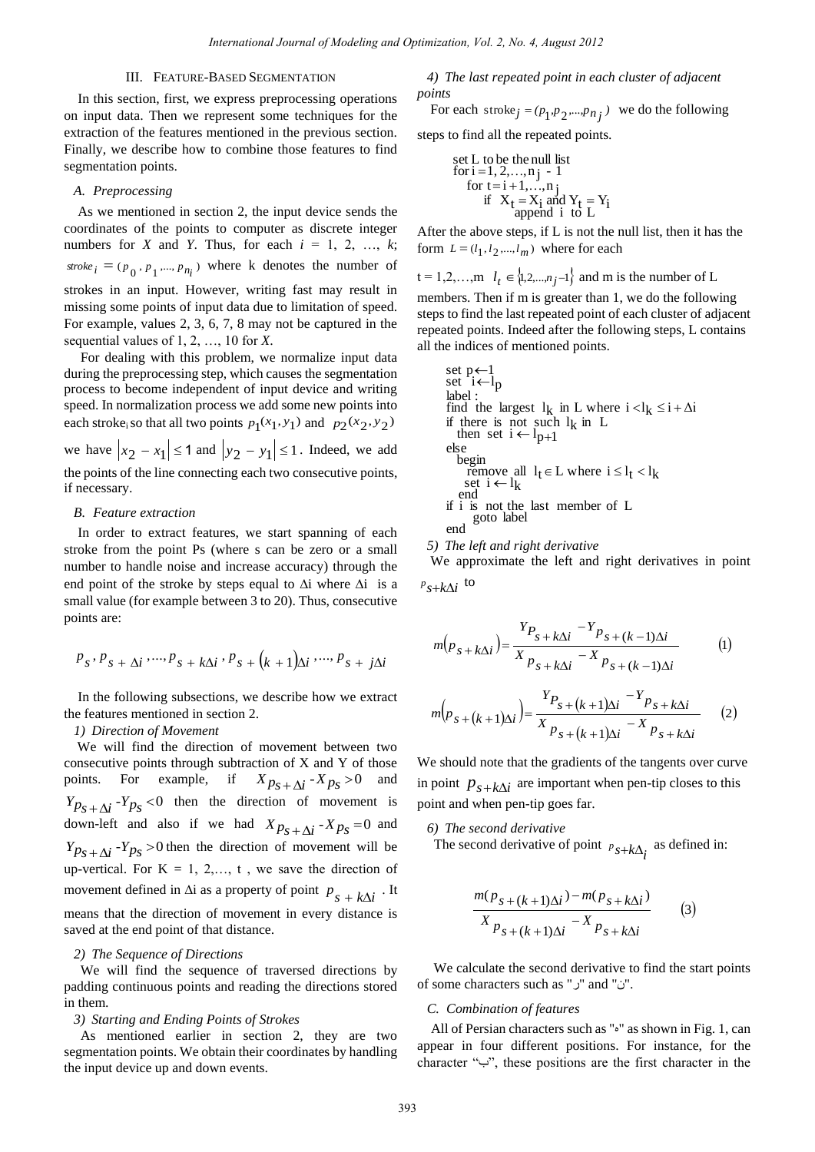## III. FEATURE-BASED SEGMENTATION

In this section, first, we express preprocessing operations on input data. Then we represent some techniques for the extraction of the features mentioned in the previous section. Finally, we describe how to combine those features to find segmentation points.

## *A. Preprocessing*

As we mentioned in section 2, the input device sends the coordinates of the points to computer as discrete integer numbers for *X* and *Y*. Thus, for each  $i = 1, 2, ..., k$ ; stroke<sub>i</sub> =  $(p_0, p_1, ..., p_{n_i})$  where k denotes the number of strokes in an input. However, writing fast may result in missing some points of input data due to limitation of speed. For example, values 2, 3, 6, 7, 8 may not be captured in the sequential values of 1, 2, …, 10 for *X*.

For dealing with this problem, we normalize input data during the preprocessing step, which causes the segmentation process to become independent of input device and writing speed. In normalization process we add some new points into each stroke<sub>i</sub> so that all two points  $p_1(x_1, y_1)$  and  $p_2(x_2, y_2)$ we have  $|x_2 - x_1| \le 1$  and  $|y_2 - y_1| \le 1$ . Indeed, we add the points of the line connecting each two consecutive points, if necessary.

#### *B. Feature extraction*

In order to extract features, we start spanning of each stroke from the point Ps (where s can be zero or a small number to handle noise and increase accuracy) through the end point of the stroke by steps equal to  $\Delta i$  where  $\Delta i$  is a small value (for example between 3 to 20). Thus, consecutive points are:

$$
P_s\cdot P_s+\Delta i\cdot\cdots\cdot P_s+k\Delta i\cdot P_s+\left(k+1\right)\!\!\Delta i\cdot\cdots\cdot P_s+j\Delta i
$$

In the following subsections, we describe how we extract the features mentioned in section 2.

#### *1) Direction of Movement*

 We will find the direction of movement between two consecutive points through subtraction of X and Y of those points. For example, if  $X_{p_s + \Delta i} - X_{p_s} > 0$  and  $Y p_S + \Delta i$  -  $Y p_S$  < 0 then the direction of movement is down-left and also if we had  $X p_S + \Delta i - X p_S = 0$  and  $Y p_S + \Delta i - Y p_S > 0$  then the direction of movement will be up-vertical. For  $K = 1, 2, \ldots, t$ , we save the direction of movement defined in  $\Delta i$  as a property of point  $p_{s + k\Delta i}$ . It means that the direction of movement in every distance is saved at the end point of that distance.

## *2) The Sequence of Directions*

We will find the sequence of traversed directions by padding continuous points and reading the directions stored in them.

## *3) Starting and Ending Points of Strokes*

As mentioned earlier in section 2, they are two segmentation points. We obtain their coordinates by handling the input device up and down events.

*4) The last repeated point in each cluster of adjacent points* 

For each stroke<sub>j</sub> = 
$$
(p_1, p_2, ..., p_{n_j})
$$
 we do the following

steps to find all the repeated points.

set L to be the null list  
for i = 1, 2,...,n j - 1  
for t = i + 1,...,n j  
if 
$$
X_t = X_i
$$
 and  $Y_t = Y_i$   
append i to L

After the above steps, if L is not the null list, then it has the form  $L = (l_1, l_2, ..., l_m)$  where for each

$$
t = 1, 2, \dots, m \quad l_t \in \{1, 2, \dots, n_j - 1\} \text{ and } m \text{ is the number of } L
$$

members. Then if m is greater than 1, we do the following steps to find the last repeated point of each cluster of adjacent repeated points. Indeed after the following steps, L contains all the indices of mentioned points.

set 
$$
p \leftarrow l
$$
 set  $i \leftarrow l_p$  label : \nfind the largest  $l_k$  in L where  $i < l_k \leq i + \Delta i$  if there is not such  $l_k$  in L then set  $i \leftarrow l_{p+1}$  else \nbegin{array}{c}\nbegin{aligned}\n\text{begin}\n\text{1} & \text{begin}\n\text{1} & \text{1} & \text{1} & \text{1} & \text{1} \\
\text{1} & \text{begin}\n\text{1} & \text{1} & \text{1} & \text{1} \\
\text{1} & \text{begin}\n\text{1} & \text{1} & \text{1} & \text{1} \\
\text{1} & \text{begin}\n\text{1} & \text{1} & \text{1} \\
\text{1} & \text{begin}\n\text{1} & \text{1} & \text{1} \\
\text{1} & \text{begin}\n\text{1} & \text{1} & \text{1} \\
\text{1} & \text{begin}\n\text{1} & \text{1} & \text{1} \\
\text{1} & \text{begin}\n\text{1} & \text{1} & \text{1} \\
\text{1} & \text{1} & \text{1} & \text{1} \\
\text{1} & \text{1} & \text{1} & \text{1} \\
\text{1} & \text{1} & \text{1} & \text{1} \\
\text{1} & \text{1} & \text{1} & \text{1} \\
\text{1} & \text{1} & \text{1} & \text{1} \\
\text{1} & \text{1} & \text{1} & \text{1} \\
\text{1} & \text{1} & \text{1} & \text{1} \\
\text{1} & \text{1} & \text{1} & \text{1} \\
\text{1} & \text{1} & \text{1} & \text{1} \\
\text{1} & \text{1} & \text{1} & \text{1} \\
\text{1} & \

*5) The left and right derivative* 

 We approximate the left and right derivatives in point  $P_{s+k\Delta i}$  to

$$
m(p_{s+k\Delta i}) = \frac{Y_{P_{s+k\Delta i}} - Y_{P_{s+(k-1)\Delta i}}}{X_{P_{s+k\Delta i}} - X_{P_{s+(k-1)\Delta i}}} \tag{1}
$$

$$
m(p_{s+(k+1)\Delta i}) = \frac{Y_{P_{s+(k+1)\Delta i}} - Y_{P_{s+k\Delta i}}}{X_{P_{s+(k+1)\Delta i}} - X_{P_{s+k\Delta i}}} \qquad (2)
$$

We should note that the gradients of the tangents over curve in point  $p_{s+k\Delta i}$  are important when pen-tip closes to this point and when pen-tip goes far.

*6) The second derivative* 

The second derivative of point  $P_{s+k\Delta_i}$  as defined in:

$$
\frac{m(p_{s+(k+1)\Delta i}) - m(p_{s+k\Delta i})}{X_{p_{s+(k+1)\Delta i}} - X_{p_{s+k\Delta i}}}
$$
 (3)

We calculate the second derivative to find the start points of some characters such as "ر "and "ن".

## *C. Combination of features*

All of Persian characters such as "<sup>9</sup>" as shown in Fig. 1, can appear in four different positions. For instance, for the character "ب", these positions are the first character in the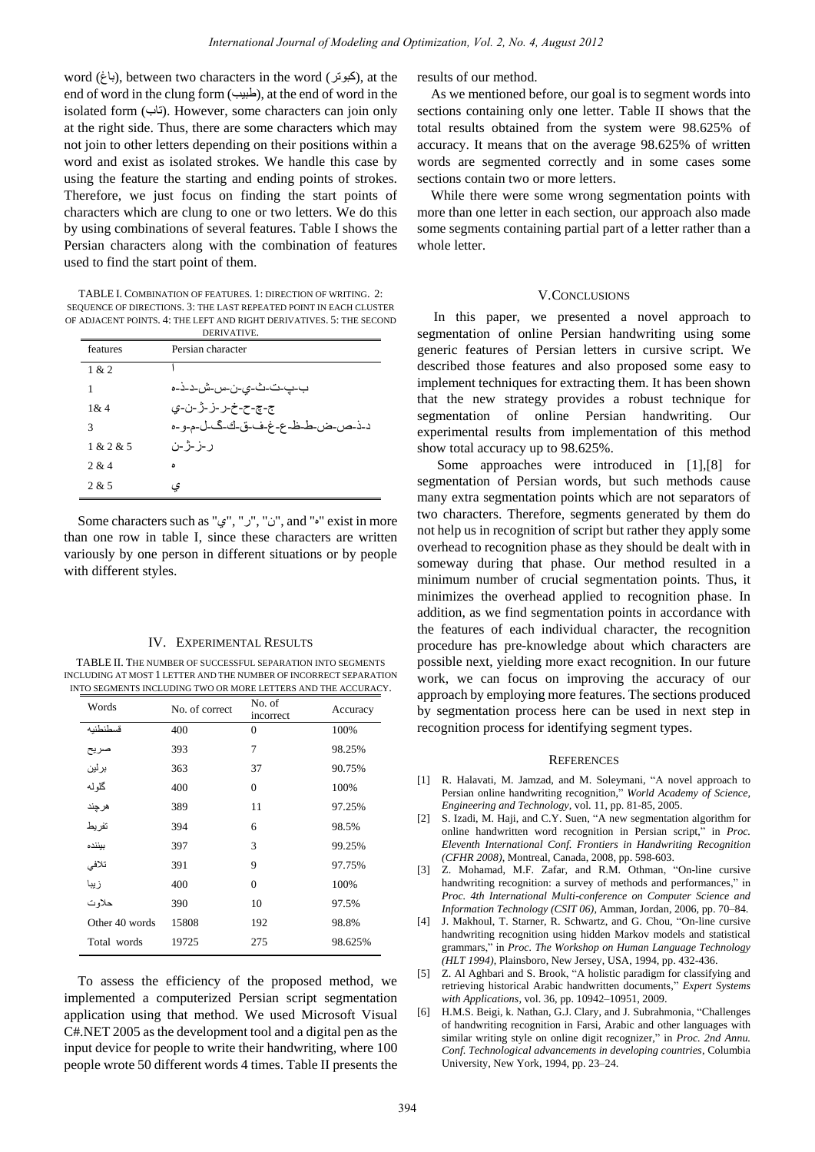word (باغ), between two characters in the word (باغ), at the end of word in the clung form  $(\frac{1}{2})$ , at the end of word in the isolated form (تاب). However, some characters can join only at the right side. Thus, there are some characters which may not join to other letters depending on their positions within a word and exist as isolated strokes. We handle this case by using the feature the starting and ending points of strokes. Therefore, we just focus on finding the start points of characters which are clung to one or two letters. We do this by using combinations of several features. Table I shows the Persian characters along with the combination of features used to find the start point of them.

TABLE I. COMBINATION OF FEATURES. 1: DIRECTION OF WRITING. 2: SEQUENCE OF DIRECTIONS. 3: THE LAST REPEATED POINT IN EACH CLUSTER OF ADJACENT POINTS. 4: THE LEFT AND RIGHT DERIVATIVES. 5: THE SECOND DERIVATIVE.

| features  | Persian character               |
|-----------|---------------------------------|
| 1 & 2     |                                 |
| 1         | ب-ڀ-ت-ٽ-ٽ-ي-ن-س-ش-د-ذ-ه         |
| 1 & 4     | ج-چ-ح-خ-ر-ز-ژ-ن-ی               |
| 3         | د-ذ-ص-ض-ط-ظ-ع-غ-ف-ق-ك-گ-ل-م-و-ه |
| 1 & 2 & 5 | ر -ز -ژ -ن                      |
| 2.814     | ۵                               |
| 2.825     | ى                               |

Some characters such as "ي"," ر"," ن", and "ه "exist in more than one row in table I, since these characters are written variously by one person in different situations or by people with different styles.

#### IV. EXPERIMENTAL RESULTS

TABLE II. THE NUMBER OF SUCCESSFUL SEPARATION INTO SEGMENTS INCLUDING AT MOST 1 LETTER AND THE NUMBER OF INCORRECT SEPARATION INTO SEGMENTS INCLUDING TWO OR MORE LETTERS AND THE ACCURACY.

| Words          | No. of correct | No. of<br>incorrect | Accuracy |
|----------------|----------------|---------------------|----------|
| قسطنطنبه       | 400            | $\mathbf{0}$        | 100%     |
| صريح           | 393            | 7                   | 98.25%   |
| برلين          | 363            | 37                  | 90.75%   |
| گلوله          | 400            | $\mathbf{0}$        | 100%     |
| هرجند          | 389            | 11                  | 97.25%   |
| تفر بط         | 394            | 6                   | 98.5%    |
| بيننده         | 397            | 3                   | 99.25%   |
| تلافى          | 391            | 9                   | 97.75%   |
| زيبا           | 400            | $\mathbf{0}$        | 100%     |
| حلاو ت         | 390            | 10                  | 97.5%    |
| Other 40 words | 15808          | 192                 | 98.8%    |
| Total words    | 19725          | 275                 | 98.625%  |

To assess the efficiency of the proposed method, we implemented a computerized Persian script segmentation application using that method. We used Microsoft Visual C#.NET 2005 as the development tool and a digital pen as the input device for people to write their handwriting, where 100 people wrote 50 different words 4 times. Table II presents the results of our method.

As we mentioned before, our goal is to segment words into sections containing only one letter. Table II shows that the total results obtained from the system were 98.625% of accuracy. It means that on the average 98.625% of written words are segmented correctly and in some cases some sections contain two or more letters.

While there were some wrong segmentation points with more than one letter in each section, our approach also made some segments containing partial part of a letter rather than a whole letter.

#### V.CONCLUSIONS

In this paper, we presented a novel approach to segmentation of online Persian handwriting using some generic features of Persian letters in cursive script. We described those features and also proposed some easy to implement techniques for extracting them. It has been shown that the new strategy provides a robust technique for segmentation of online Persian handwriting. Our experimental results from implementation of this method show total accuracy up to 98.625%.

 Some approaches were introduced in [1],[8] for segmentation of Persian words, but such methods cause many extra segmentation points which are not separators of two characters. Therefore, segments generated by them do not help us in recognition of script but rather they apply some overhead to recognition phase as they should be dealt with in someway during that phase. Our method resulted in a minimum number of crucial segmentation points. Thus, it minimizes the overhead applied to recognition phase. In addition, as we find segmentation points in accordance with the features of each individual character, the recognition procedure has pre-knowledge about which characters are possible next, yielding more exact recognition. In our future work, we can focus on improving the accuracy of our approach by employing more features. The sections produced by segmentation process here can be used in next step in recognition process for identifying segment types.

#### **REFERENCES**

- [1] R. Halavati, M. Jamzad, and M. Soleymani, "A novel approach to Persian online handwriting recognition," *World Academy of Science, Engineering and Technology,* vol. 11, pp. 81-85, 2005.
- [2] S. Izadi, M. Haji, and C.Y. Suen, ["A new segmentation algorithm for](http://www.cenparmi.concordia.ca/ICFHR2008/Proceedings/papers/cr1140.pdf)  [online handwritten word recognition in Persian script,"](http://www.cenparmi.concordia.ca/ICFHR2008/Proceedings/papers/cr1140.pdf) in *Proc. Eleventh International Conf. Frontiers in Handwriting Recognition (CFHR 2008)*, Montreal, Canada, 2008, pp. 598-603.
- [3] Z. Mohamad, M.F. Zafar, and R.M. Othman, "On-line cursive handwriting recognition: a survey of methods and performances," in *Proc. 4th International Multi-conference on Computer Science and Information Technology (CSIT 06)*, Amman, Jordan, 2006, pp. 70–84.
- [4] J. Makhoul, T. Starner, R. Schwartz, and G. Chou, "On-line cursive handwriting recognition using hidden Markov models and statistical grammars," in *Proc. The Workshop on Human Language Technology (HLT 1994)*, Plainsboro, New Jersey, USA, 1994, pp. 432-436.
- [5] Z. Al Aghbari and S. Brook, "A holistic paradigm for classifying and retrieving historical Arabic handwritten documents," *Expert Systems with Applications,* vol. 36, pp. 10942–10951, 2009.
- [6] H.M.S. Beigi, k. Nathan, G.J. Clary, and J. Subrahmonia, "Challenges of handwriting recognition in Farsi, Arabic and other languages with similar writing style on online digit recognizer," in *Proc. 2nd Annu. Conf. Technological advancements in developing countries*, Columbia University, New York, 1994, pp. 23–24.